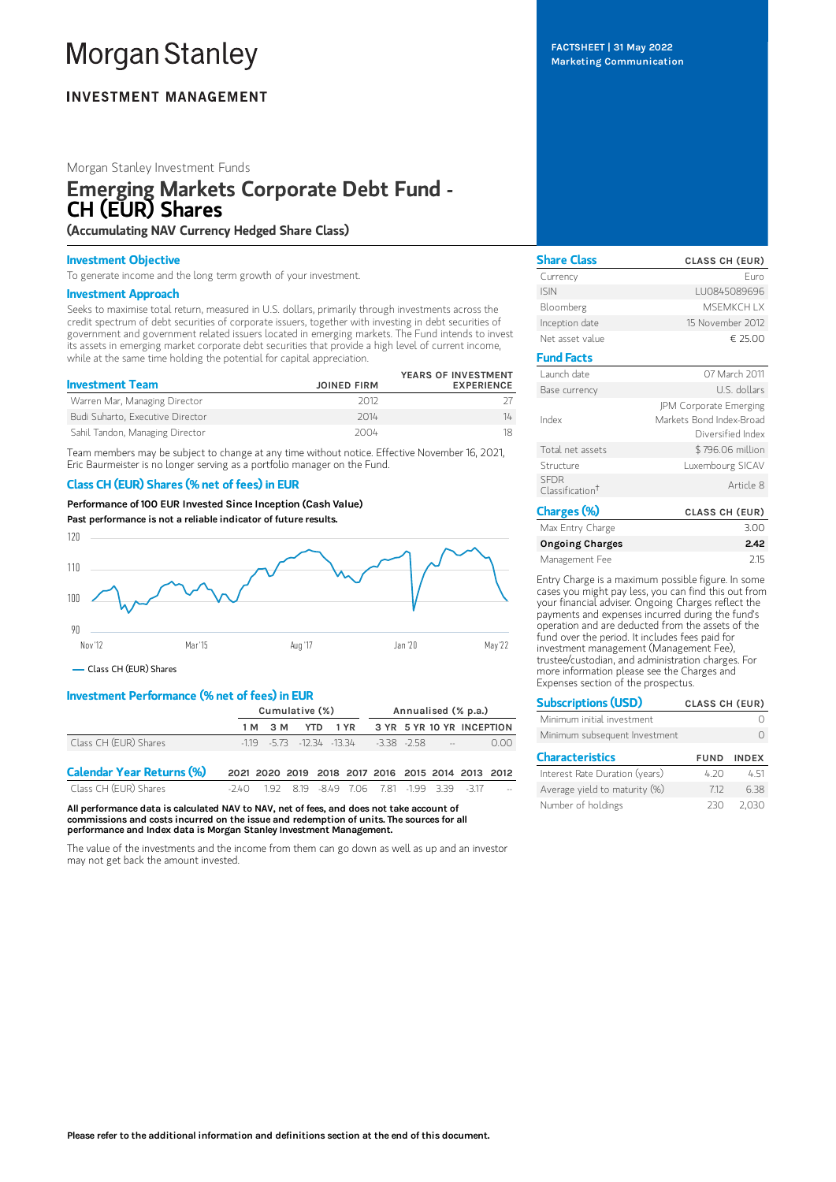# **Morgan Stanley**

# **INVESTMENT MANAGEMENT**

# Morgan Stanley Investment Funds

# Emerging Markets Corporate Debt Fund - CH (EUR) Shares

(Accumulating NAV Currency Hedged Share Class)

# Investment Objective

To generate income and the long term growth of your investment.

## Investment Approach

Seeks to maximise total return, measured in U.S. dollars, primarily through investments across the credit spectrum of debt securities of corporate issuers, together with investing in debt securities of government and government related issuers located in emerging markets. The Fund intends to invest its assets in emerging market corporate debt securities that provide a high level of current income, while at the same time holding the potential for capital appreciation.

| <b>Investment Team</b>           | <b>JOINED FIRM</b> | YEARS OF INVESTMENT<br><b>EXPERIENCE</b> |
|----------------------------------|--------------------|------------------------------------------|
| Warren Mar, Managing Director    | 2012               |                                          |
| Budi Suharto, Executive Director | 2014               | 14                                       |
| Sahil Tandon, Managing Director  | 2004               |                                          |

Team members may be subject to change at any time without notice. Effective November 16, 2021, Eric Baurmeister is no longer serving as a portfolio manager on the Fund.

# Class CH (EUR) Shares (% net of fees) in EUR

Performance of 100 EUR Invested Since Inception (Cash Value)





- Class CH (EUR) Shares

# Investment Performance (% net of fees) in EUR

|                       | Cumulative (%) |         |  | Annualised (% p.a.) |                                                   |  |            |                                    |
|-----------------------|----------------|---------|--|---------------------|---------------------------------------------------|--|------------|------------------------------------|
|                       |                | 1 M 3 M |  |                     |                                                   |  |            | YTD 1 YR 3 YR 5 YR 10 YR INCEPTION |
| Class CH (EUR) Shares |                |         |  |                     | $-1.19$ $-5.73$ $-12.34$ $-13.34$ $-3.38$ $-2.58$ |  | $\sim 100$ | 0.00                               |
| $\sim$<br>__________  |                |         |  |                     |                                                   |  |            |                                    |

Calendar Year Returns (%) 2021 2020 2019 2018 2017 2016 2015 2014 2013 2012 Class CH (EUR) Shares -2.40 1.92 8.19 -8.49 7.06 7.81 -1.99 3.39 -3.17

All performance data is calculated NAV to NAV, net of fees, and does not take account of commissions and costs incurred on the issue and redemption of units. The sources for all performance and Index data is Morgan Stanley Investment Management.

The value of the investments and the income from them can go down as well as up and an investor may not get back the amount invested.

FACTSHEET | 31 May 2022 Marketing Communication

| <b>Share Class</b>                         | <b>CLASS CH (EUR)</b>                                                   |
|--------------------------------------------|-------------------------------------------------------------------------|
| Currency                                   | Furo                                                                    |
| <b>ISIN</b>                                | LU0845089696                                                            |
| Bloomberg                                  | <b>MSFMKCHIX</b>                                                        |
| Inception date                             | 15 November 2012                                                        |
| Net asset value                            | € 25.00                                                                 |
| <b>Fund Facts</b>                          |                                                                         |
| Launch date                                | 07 March 2011                                                           |
| Base currency                              | U.S. dollars                                                            |
| Index                                      | JPM Corporate Emerging<br>Markets Bond Index-Broad<br>Diversified Index |
| Total net assets                           | \$796.06 million                                                        |
| Structure                                  | Luxembourg SICAV                                                        |
| <b>SFDR</b><br>Classification <sup>†</sup> | Article 8                                                               |
| <b>Charges (%)</b>                         | <b>CLASS CH (EUR)</b>                                                   |

|                        | .    |
|------------------------|------|
| Max Entry Charge       | 3.00 |
| <b>Ongoing Charges</b> | 2.42 |
| Management Fee         | 215  |

Entry Charge is a maximum possible figure. In some cases you might pay less, you can find this out from your financial adviser. Ongoing Charges reflect the payments and expenses incurred during the fund's operation and are deducted from the assets of the fund over the period. It includes fees paid for investment management (Management Fee), trustee/custodian, and administration charges. For more information please see the Charges and Expenses section of the prospectus.

| <b>Subscriptions (USD)</b>     | <b>CLASS CH (EUR)</b> |              |  |
|--------------------------------|-----------------------|--------------|--|
| Minimum initial investment     |                       |              |  |
| Minimum subsequent Investment  |                       |              |  |
| <b>Characteristics</b>         | <b>FUND</b>           | <b>INDEX</b> |  |
| Interest Rate Duration (years) | 4.20                  | 451          |  |
| Average yield to maturity (%)  | 712                   | 638          |  |
| Number of holdings             | 23N                   | -2 030       |  |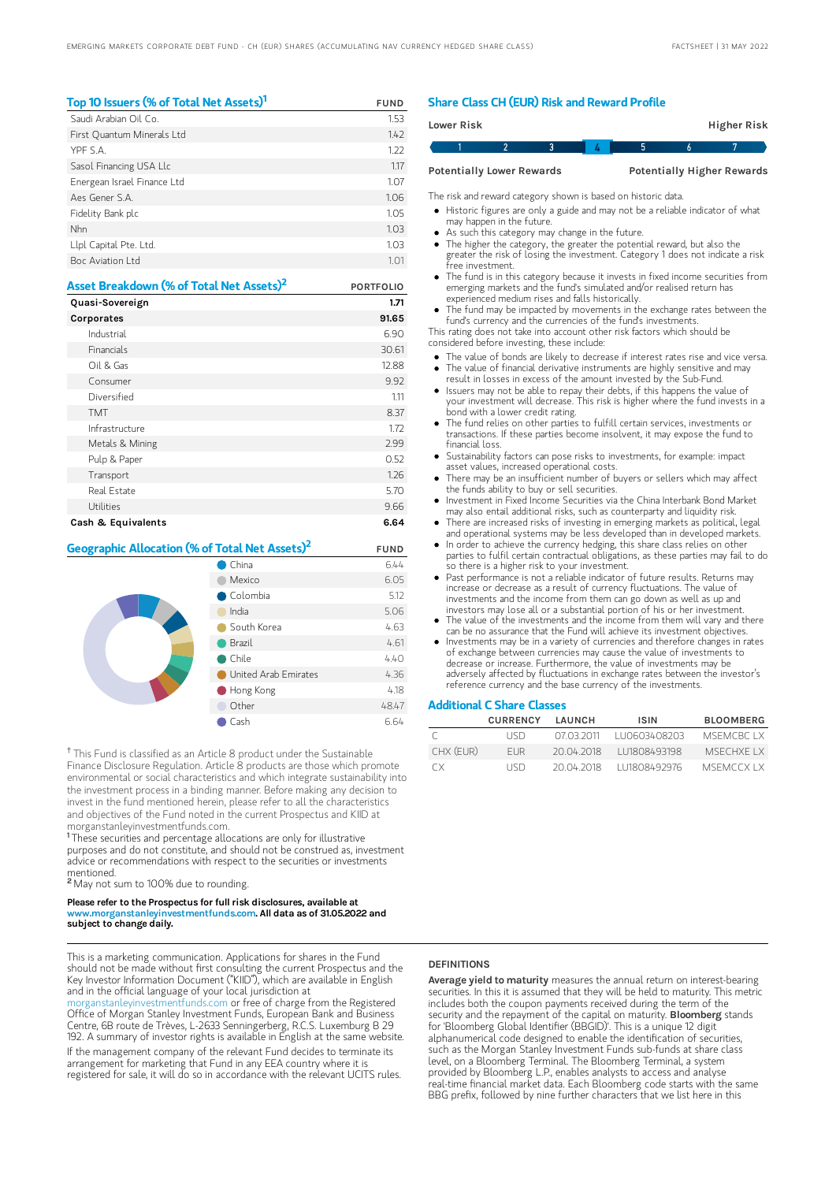| Top 10 Issuers (% of Total Net Assets) <sup>1</sup> | <b>FUND</b>     |
|-----------------------------------------------------|-----------------|
| Saudi Arabian Oil Co.                               | 1.53            |
| First Quantum Minerals Ltd                          | 142             |
| YPF S.A.                                            | 1.22            |
| Sasol Financing USA Llc                             | 1.17            |
| Energean Israel Finance Ltd                         | 1.07            |
| Aes Gener S A                                       | 1.06            |
| Fidelity Bank plc                                   | 1.05            |
| Nhn                                                 | 1.03            |
| Llpl Capital Pte. Ltd.                              | 1.03            |
| Boc Aviation Ltd                                    | 1 <sub>01</sub> |

| Asset Breakdown (% of Total Net Assets) <sup>2</sup> | <b>PORTFOLIO</b> |
|------------------------------------------------------|------------------|
| Quasi-Sovereign                                      | 1.71             |
| <b>Corporates</b>                                    | 91.65            |
| Industrial                                           | 6.90             |
| Financials                                           | 30.61            |
| Oil & Gas                                            | 12.88            |
| Consumer                                             | 9.92             |
| Diversified                                          | 1.11             |
| <b>TMT</b>                                           | 8.37             |
| Infrastructure                                       | 1.72             |
| Metals & Mining                                      | 2.99             |
| Pulp & Paper                                         | 0.52             |
| Transport                                            | 1.26             |
| Real Estate                                          | 5.70             |
| Utilities                                            | 9.66             |
| Cash & Equivalents                                   | 6.64             |

| Geographic Allocation (% of Total Net Assets) <sup>2</sup> |                      | <b>FUND</b> |
|------------------------------------------------------------|----------------------|-------------|
|                                                            | China                | 6.44        |
|                                                            | Mexico               | 6.05        |
|                                                            | Colombia             | 5.12        |
|                                                            | India                | 5.06        |
|                                                            | South Korea          | 4.63        |
|                                                            | Brazil               | 4.61        |
|                                                            | Chile                | 4.40        |
|                                                            | United Arab Emirates | 4.36        |
|                                                            | Hong Kong            | 4.18        |
|                                                            | Other                | 48.47       |
|                                                            | Cash                 | 6.64        |

<sup>†</sup> This Fund is classified as an Article 8 product under the Sustainable Finance Disclosure Regulation. Article 8 products are those which promote environmental or social characteristics and which integrate sustainability into the investment process in a binding manner. Before making any decision to invest in the fund mentioned herein, please refer to all the characteristics and objectives of the Fund noted in the current Prospectus and KIID at morganstanleyinvestmentfunds.com.

<sup>1</sup>These securities and percentage allocations are only for illustrative purposes and do not constitute, and should not be construed as, investment advice or recommendations with respect to the securities or investments mentioned.

<sup>2</sup> May not sum to 100% due to rounding.

#### Please refer to the Prospectus for full risk disclosures, available at w.morganstanleyinvestmentfunds.com. All data as of 31.05.2022 and subject to change daily.

This is a marketing communication. Applications for shares in the Fund should not be made without first consulting the current Prospectus and the Key Investor Information Document ("KIID"), which are available in English and in the official language of your local jurisdiction at

[morganstanleyinvestmentfunds.com](https://www.morganstanley.com/im/msinvf/index.html) or free of charge from the Registered Office of Morgan Stanley Investment Funds, European Bank and Business Centre, 6B route de Trèves, L-2633 Senningerberg, R.C.S. Luxemburg B 29 192. A summary of investor rights is available in English at the same website. If the management company of the relevant Fund decides to terminate its arrangement for marketing that Fund in any EEA country where it is

registered for sale, it will do so in accordance with the relevant UCITS rules.

# Share Class CH (EUR) Risk and Reward Profile

| Lower Risk                       |  |  |  |  |  | Higher Risk                       |  |
|----------------------------------|--|--|--|--|--|-----------------------------------|--|
|                                  |  |  |  |  |  |                                   |  |
| <b>Potentially Lower Rewards</b> |  |  |  |  |  | <b>Potentially Higher Rewards</b> |  |

The risk and reward category shown is based on historic data.

Historic figures are only a guide and may not be a reliable indicator of what may happen in the future.

- As such this category may change in the future.
- The higher the category, the greater the potential reward, but also the greater the risk of losing the investment. Category 1 does not indicate a risk free investment.
- The fund is in this category because it invests in fixed income securities from emerging markets and the fund's simulated and/or realised return has experienced medium rises and falls historically.
- The fund may be impacted by movements in the exchange rates between the fund's currency and the currencies of the fund's investments.

This rating does not take into account other risk factors which should be considered before investing, these include:

- The value of bonds are likely to decrease if interest rates rise and vice versa. The value of financial derivative instruments are highly sensitive and may result in losses in excess of the amount invested by the Sub-Fund.
- Issuers may not be able to repay their debts, if this happens the value of your investment will decrease. This risk is higher where the fund invests in a bond with a lower credit rating.
- The fund relies on other parties to fulfill certain services, investments or transactions. If these parties become insolvent, it may expose the fund to financial loss.
- Sustainability factors can pose risks to investments, for example: impact asset values, increased operational costs.
- There may be an insufficient number of buyers or sellers which may affect the funds ability to buy or sell securities.
- Investment in Fixed Income Securities via the China Interbank Bond Market may also entail additional risks, such as counterparty and liquidity risk.
- There are increased risks of investing in emerging markets as political, legal and operational systems may be less developed than in developed markets. • In order to achieve the currency hedging, this share class relies on other
- parties to fulfil certain contractual obligations, as these parties may fail to do so there is a higher risk to your investment.
- Past performance is not a reliable indicator of future results. Returns may increase or decrease as a result of currency fluctuations. The value of investments and the income from them can go down as well as up and investors may lose all or a substantial portion of his or her investment.
- The value of the investments and the income from them will vary and there can be no assurance that the Fund will achieve its investment objectives.
- Investments may be in a variety of currencies and therefore changes in rates of exchange between currencies may cause the value of investments to decrease or increase. Furthermore, the value of investments may be adversely affected by fluctuations in exchange rates between the investor's reference currency and the base currency of the investments.

# Additional C Share Classes

|           | <b>CURRENCY</b> | <b>I AUNCH</b> | <b>ISIN</b>  | <b>BLOOMBERG</b> |
|-----------|-----------------|----------------|--------------|------------------|
|           | LISD.           | 07 03 2011     | TU0603408203 | MSEMCRC LX       |
| CHX (FUR) | <b>FUR</b>      | 20.04.2018     | 111808493198 | MSECHXE I X      |
| CX.       | LISD.           | 20.04.2018     | 111808492976 | <b>MSEMCCXIX</b> |

# **DEFINITIONS**

Average yield to maturity measures the annual return on interest-bearing securities. In this it is assumed that they will be held to maturity. This metric includes both the coupon payments received during the term of the security and the repayment of the capital on maturity. **Bloomberg** stands for 'Bloomberg Global Identifier (BBGID)'. This is a unique 12 digit alphanumerical code designed to enable the identification of securities, such as the Morgan Stanley Investment Funds sub-funds at share class level, on a Bloomberg Terminal. The Bloomberg Terminal, a system provided by Bloomberg L.P., enables analysts to access and analyse real-time financial market data. Each Bloomberg code starts with the same BBG prefix, followed by nine further characters that we list here in this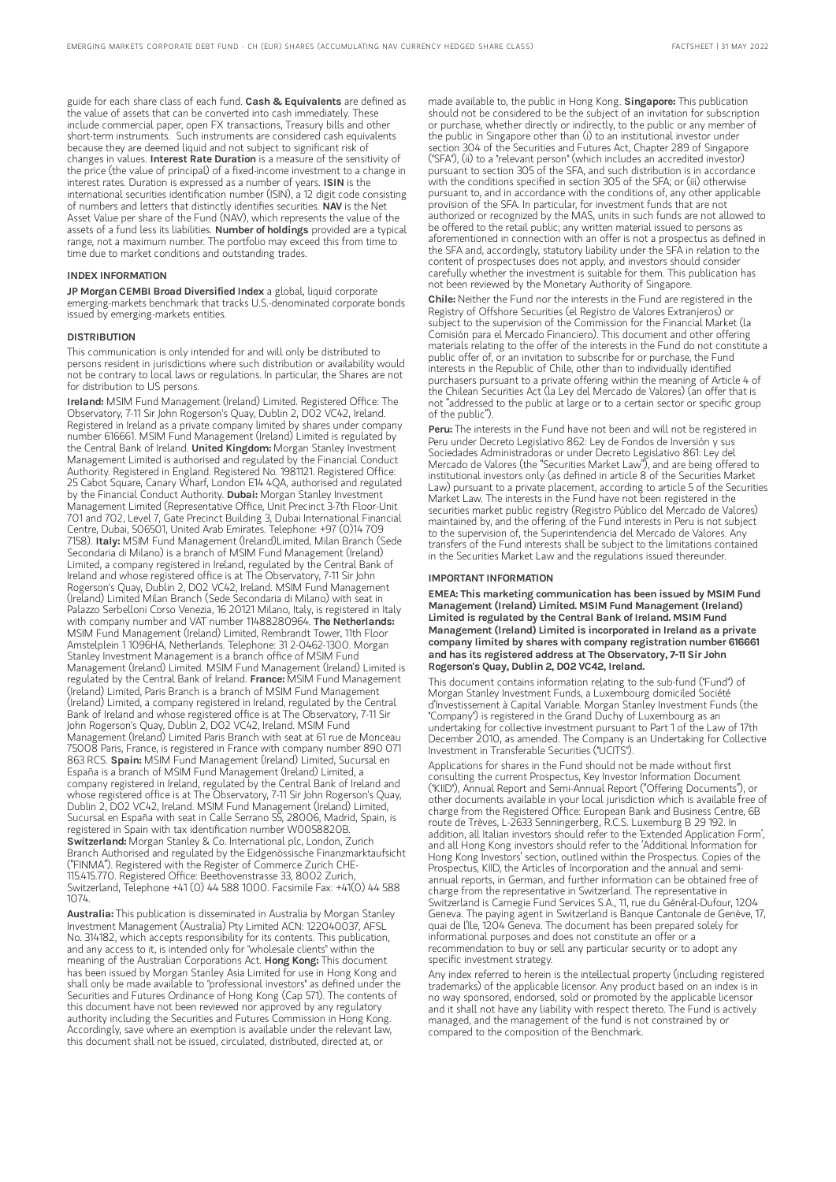guide for each share class of each fund. Cash & Equivalents are defined as the value of assets that can be converted into cash immediately. These include commercial paper, open FX transactions, Treasury bills and other short-term instruments. Such instruments are considered cash equivalents because they are deemed liquid and not subject to significant risk of changes in values. Interest Rate Duration is a measure of the sensitivity of the price (the value of principal) of a fixed-income investment to a change in interest rates. Duration is expressed as a number of years. ISIN is the international securities identification number (ISIN), a 12 digit code consisting of numbers and letters that distinctly identifies securities. NAV is the Net Asset Value per share of the Fund (NAV), which represents the value of the assets of a fund less its liabilities. **Number of holdings** provided are a typical range, not a maximum number. The portfolio may exceed this from time to time due to market conditions and outstanding trades.

## INDEX INFORMATION

JP Morgan CEMBI Broad Diversified Index a global, liquid corporate emerging-markets benchmark that tracks U.S.-denominated corporate bonds issued by emerging-markets entities.

### DISTRIBUTION

This communication is only intended for and will only be distributed to persons resident in jurisdictions where such distribution or availability would not be contrary to local laws or regulations. In particular, the Shares are not for distribution to US persons.

Ireland: MSIM Fund Management (Ireland) Limited. Registered Office: The Observatory, 7-11 Sir John Rogerson's Quay, Dublin 2, D02 VC42, Ireland. Registered in Ireland as a private company limited by shares under company number 616661. MSIM Fund Management (Ireland) Limited is regulated by the Central Bank of Ireland. United Kingdom: Morgan Stanley Investment Management Limited is authorised and regulated by the Financial Conduct Authority. Registered in England. Registered No. 1981121. Registered Office: 25 Cabot Square, Canary Wharf, London E14 4QA, authorised and regulated by the Financial Conduct Authority. Dubai: Morgan Stanley Investment Management Limited (Representative Office, Unit Precinct 3-7th Floor-Unit 701 and 702, Level 7, Gate Precinct Building 3, Dubai International Financial Centre, Dubai, 506501, United Arab Emirates. Telephone: +97 (0)14 709<br>7158). I**taly:** MSIM Fund Management (Ireland)Limited, Milan Branch (Sede Secondaria di Milano) is a branch of MSIM Fund Management (Ireland) Limited, a company registered in Ireland, regulated by the Central Bank of Ireland and whose registered office is at The Observatory, 7-11 Sir John Rogerson's Quay, Dublin 2, D02 VC42, Ireland. MSIM Fund Management (Ireland) Limited Milan Branch (Sede Secondaria di Milano) with seat in Palazzo Serbelloni Corso Venezia, 16 20121 Milano, Italy, is registered in Italy with company number and VAT number 11488280964. The Netherlands: MSIM Fund Management (Ireland) Limited, Rembrandt Tower, 11th Floor Amstelplein 1 1096HA, Netherlands. Telephone: 31 2-0462-1300. Morgan Stanley Investment Management is a branch office of MSIM Fund Management (Ireland) Limited. MSIM Fund Management (Ireland) Limited is regulated by the Central Bank of Ireland. France: MSIM Fund Management (Ireland) Limited, Paris Branch is a branch of MSIM Fund Management (Ireland) Limited, a company registered in Ireland, regulated by the Central Bank of Ireland and whose registered office is at The Observatory, 7-11 Sir John Rogerson's Quay, Dublin 2, D02 VC42, Ireland. MSIM Fund Management (Ireland) Limited Paris Branch with seat at 61 rue de Monceau 75008 Paris, France, is registered in France with company number 890 071 863 RCS. Spain: MSIM Fund Management (Ireland) Limited, Sucursal en España is a branch of MSIM Fund Management (Ireland) Limited, a company registered in Ireland, regulated by the Central Bank of Ireland and whose registered office is at The Observatory, 7-11 Sir John Rogerson's Quay, Dublin 2, D02 VC42, Ireland. MSIM Fund Management (Ireland) Limited, Sucursal en España with seat in Calle Serrano 55, 28006, Madrid, Spain, is registered in Spain with tax identification number W0058820B. Switzerland: Morgan Stanley & Co. International plc, London, Zurich Branch Authorised and regulated by the Eidgenössische Finanzmarktaufsicht ("FINMA"). Registered with the Register of Commerce Zurich CHE-115.415.770. Registered Office: Beethovenstrasse 33, 8002 Zurich, Switzerland, Telephone +41 (0) 44 588 1000. Facsimile Fax: +41(0) 44 588 1074.

Australia: This publication is disseminated in Australia by Morgan Stanley Investment Management (Australia) Pty Limited ACN: 122040037, AFSL No. 314182, which accepts responsibility for its contents. This publication, and any access to it, is intended only for "wholesale clients" within the meaning of the Australian Corporations Act. Hong Kong: This document has been issued by Morgan Stanley Asia Limited for use in Hong Kong and shall only be made available to "professional investors" as defined under the Securities and Futures Ordinance of Hong Kong (Cap 571). The contents of this document have not been reviewed nor approved by any regulatory authority including the Securities and Futures Commission in Hong Kong. Accordingly, save where an exemption is available under the relevant law, this document shall not be issued, circulated, distributed, directed at, or

made available to, the public in Hong Kong. Singapore: This publication should not be considered to be the subject of an invitation for subscription or purchase, whether directly or indirectly, to the public or any member of the public in Singapore other than (i) to an institutional investor under section 304 of the Securities and Futures Act, Chapter 289 of Singapore ("SFA"), (ii) to a "relevant person" (which includes an accredited investor) pursuant to section 305 of the SFA, and such distribution is in accordance with the conditions specified in section 305 of the SFA; or (iii) otherwise pursuant to, and in accordance with the conditions of, any other applicable provision of the SFA. In particular, for investment funds that are not authorized or recognized by the MAS, units in such funds are not allowed to be offered to the retail public; any written material issued to persons as aforementioned in connection with an offer is not a prospectus as defined in the SFA and, accordingly, statutory liability under the SFA in relation to the content of prospectuses does not apply, and investors should consider carefully whether the investment is suitable for them. This publication has not been reviewed by the Monetary Authority of Singapore.

Chile: Neither the Fund nor the interests in the Fund are registered in the Registry of Offshore Securities (el Registro de Valores Extranjeros) or subject to the supervision of the Commission for the Financial Market (la Comisión para el Mercado Financiero). This document and other offering materials relating to the offer of the interests in the Fund do not constitute a public offer of, or an invitation to subscribe for or purchase, the Fund interests in the Republic of Chile, other than to individually identified purchasers pursuant to a private offering within the meaning of Article 4 of the Chilean Securities Act (la Ley del Mercado de Valores) (an offer that is not "addressed to the public at large or to a certain sector or specific group of the public").

Peru: The interests in the Fund have not been and will not be registered in Peru under Decreto Legislativo 862: Ley de Fondos de Inversión y sus Sociedades Administradoras or under Decreto Legislativo 861: Ley del Mercado de Valores (the "Securities Market Law"), and are being offered to institutional investors only (as defined in article 8 of the Securities Market Law) pursuant to a private placement, according to article 5 of the Securities Market Law. The interests in the Fund have not been registered in the securities market public registry (Registro Público del Mercado de Valores) maintained by, and the offering of the Fund interests in Peru is not subject to the supervision of, the Superintendencia del Mercado de Valores. Any transfers of the Fund interests shall be subject to the limitations contained in the Securities Market Law and the regulations issued thereunder.

#### IMPORTANT INFORMATION

EMEA: This marketing communication has been issued by MSIM Fund Management (Ireland) Limited. MSIM Fund Management (Ireland) Limited is regulated by the Central Bank of Ireland. MSIM Fund Management (Ireland) Limited is incorporated in Ireland as a private company limited by shares with company registration number 616661 and has its registered address at The Observatory, 7-11 Sir John Rogerson's Quay, Dublin 2, D02 VC42, Ireland.

This document contains information relating to the sub-fund ("Fund") of Morgan Stanley Investment Funds, a Luxembourg domiciled Société d'Investissement à Capital Variable. Morgan Stanley Investment Funds (the "Company") is registered in the Grand Duchy of Luxembourg as an undertaking for collective investment pursuant to Part 1 of the Law of 17th December 2010, as amended. The Company is an Undertaking for Collective Investment in Transferable Securities ("UCITS").

Applications for shares in the Fund should not be made without first consulting the current Prospectus, Key Investor Information Document ("KIID"), Annual Report and Semi-Annual Report ("Offering Documents"), or other documents available in your local jurisdiction which is available free of charge from the Registered Office: European Bank and Business Centre, 6B route de Trèves, L-2633 Senningerberg, R.C.S. Luxemburg B 29 192. In addition, all Italian investors should refer to the 'Extended Application Form', and all Hong Kong investors should refer to the 'Additional Information for Hong Kong Investors' section, outlined within the Prospectus. Copies of the Prospectus, KIID, the Articles of Incorporation and the annual and semiannual reports, in German, and further information can be obtained free of charge from the representative in Switzerland. The representative in Switzerland is Carnegie Fund Services S.A., 11, rue du Général-Dufour, 1204 Geneva. The paying agent in Switzerland is Banque Cantonale de Genève, 17, quai de l'Ile, 1204 Geneva. The document has been prepared solely for informational purposes and does not constitute an offer or a recommendation to buy or sell any particular security or to adopt any specific investment strategy.

Any index referred to herein is the intellectual property (including registered trademarks) of the applicable licensor. Any product based on an index is in no way sponsored, endorsed, sold or promoted by the applicable licensor and it shall not have any liability with respect thereto. The Fund is actively managed, and the management of the fund is not constrained by or compared to the composition of the Benchmark.